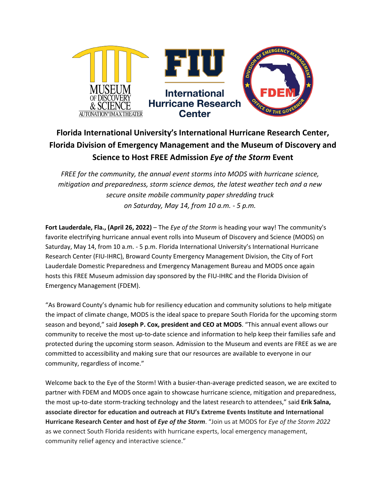

# **Florida International University's International Hurricane Research Center, Florida Division of Emergency Management and the Museum of Discovery and Science to Host FREE Admission** *Eye of the Storm* **Event**

*FREE for the community, the annual event storms into MODS with hurricane science, mitigation and preparedness, storm science demos, the latest weather tech and a new secure onsite mobile community paper shredding truck on Saturday, May 14, from 10 a.m. - 5 p.m.* 

**Fort Lauderdale, Fla., (April 26, 2022)** – The *Eye of the Storm* is heading your way! The community's favorite electrifying hurricane annual event rolls into Museum of Discovery and Science (MODS) on Saturday, May 14, from 10 a.m. - 5 p.m. Florida International University's International Hurricane Research Center (FIU-IHRC), Broward County Emergency Management Division, the City of Fort Lauderdale Domestic Preparedness and Emergency Management Bureau and MODS once again hosts this FREE Museum admission day sponsored by the FIU-IHRC and the Florida Division of Emergency Management (FDEM).

"As Broward County's dynamic hub for resiliency education and community solutions to help mitigate the impact of climate change, MODS is the ideal space to prepare South Florida for the upcoming storm season and beyond," said **Joseph P. Cox, president and CEO at MODS**. "This annual event allows our community to receive the most up-to-date science and information to help keep their families safe and protected during the upcoming storm season. Admission to the Museum and events are FREE as we are committed to accessibility and making sure that our resources are available to everyone in our community, regardless of income."

Welcome back to the Eye of the Storm! With a busier-than-average predicted season, we are excited to partner with FDEM and MODS once again to showcase hurricane science, mitigation and preparedness, the most up-to-date storm-tracking technology and the latest research to attendees," said **Erik Salna, associate director for education and outreach at FIU's Extreme Events Institute and International Hurricane Research Center and host of** *Eye of the Storm*. "Join us at MODS for *Eye of the Storm 2022*  as we connect South Florida residents with hurricane experts, local emergency management, community relief agency and interactive science."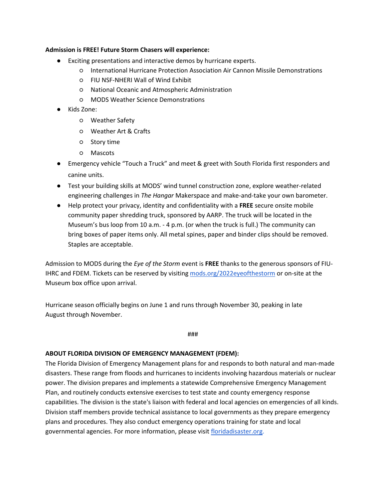#### **Admission is FREE! Future Storm Chasers will experience:**

- Exciting presentations and interactive demos by hurricane experts.
	- International Hurricane Protection Association Air Cannon Missile Demonstrations
	- FIU NSF-NHERI Wall of Wind Exhibit
	- National Oceanic and Atmospheric Administration
	- MODS Weather Science Demonstrations
- Kids Zone:
	- Weather Safety
	- Weather Art & Crafts
	- Story time
	- Mascots
- Emergency vehicle "Touch a Truck" and meet & greet with South Florida first responders and canine units.
- Test your building skills at MODS' wind tunnel construction zone, explore weather-related engineering challenges in *The Hangar* Makerspace and make-and-take your own barometer.
- Help protect your privacy, identity and confidentiality with a **FREE** secure onsite mobile community paper shredding truck, sponsored by AARP. The truck will be located in the Museum's bus loop from 10 a.m. - 4 p.m. (or when the truck is full.) The community can bring boxes of paper items only. All metal spines, paper and binder clips should be removed. Staples are acceptable.

Admission to MODS during the *Eye of the Storm* event is **FREE** thanks to the generous sponsors of FIUIHRC and FDEM. Tickets can be reserved by visitin[g mods.org/2022eyeofthestorm](http://mods.org/2022eyeofthestorm) or on-site at the Museum box office upon arrival.

Hurricane season officially begins on June 1 and runs through November 30, peaking in late August through November.

###

#### **ABOUT FLORIDA DIVISION OF EMERGENCY MANAGEMENT (FDEM):**

The Florida Division of Emergency Management plans for and responds to both natural and man-made disasters. These range from floods and hurricanes to incidents involving hazardous materials or nuclear power. The division prepares and implements a statewide Comprehensive Emergency Management Plan, and routinely conducts extensive exercises to test state and county emergency response capabilities. The division is the state's liaison with federal and local agencies on emergencies of all kinds. Division staff members provide technical assistance to local governments as they prepare emergency plans and procedures. They also conduct emergency operations training for state and local governmental agencies. For more information, please visit [floridadisaster.org.](https://www.floridadisaster.org/)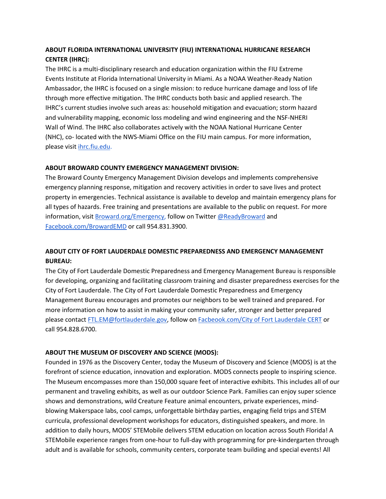# **ABOUT FLORIDA INTERNATIONAL UNIVERSITY (FIU) INTERNATIONAL HURRICANE RESEARCH CENTER (IHRC):**

The IHRC is a multi-disciplinary research and education organization within the FIU Extreme Events Institute at Florida International University in Miami. As a NOAA Weather-Ready Nation Ambassador, the IHRC is focused on a single mission: to reduce hurricane damage and loss of life through more effective mitigation. The IHRC conducts both basic and applied research. The IHRC's current studies involve such areas as: household mitigation and evacuation; storm hazard and vulnerability mapping, economic loss modeling and wind engineering and the NSF-NHERI Wall of Wind. The IHRC also collaborates actively with the NOAA National Hurricane Center (NHC), co- located with the NWS-Miami Office on the FIU main campus. For more information, please visi[t](http://www.ihrc.fiu.edu/) [ihrc.fiu.edu.](http://www.ihrc.fiu.edu/)

## **ABOUT BROWARD COUNTY EMERGENCY MANAGEMENT DIVISION:**

The Broward County Emergency Management Division develops and implements comprehensive emergency planning response, mitigation and recovery activities in order to save lives and protect property in emergencies. Technical assistance is available to develop and maintain emergency plans for all types of hazards. Free training and presentations are available to the public on request. For more informa[t](http://www.broward.org/Emergency)ion, visit [Broward.org/Emergency,](http://www.broward.org/Emergency) follow on Twitter @ReadyBroward and [Facebook.com/BrowardEMD](http://www.facebook.com/BrowardEMD) or call 954.831.3900.

# **ABOUT CITY OF FORT LAUDERDALE DOMESTIC PREPAREDNESS AND EMERGENCY MANAGEMENT BUREAU:**

The City of Fort Lauderdale Domestic Preparedness and Emergency Management Bureau is responsible for developing, organizing and facilitating classroom training and disaster preparedness exercises for the City of Fort Lauderdale. The City of Fort Lauderdale Domestic Preparedness and Emergency Management Bureau encourages and promotes our neighbors to be well trained and prepared. For more information on how to assist in making your community safer, stronger and better prepared please contact FTL.EM@fortlauderdale.gov, follow on [Facbeook.com/City of Fort Lauderdale CERT](https://www.facebook.com/FortLauderdaleCERT/?__tn__=%2Cd%2CP-R&eid=ARAULYWG5SvdYIGl8RQuacOruOuaho4PsHHOI9h2Q3ZfqUJPDJprro2bkz5X1VtXK0fM3at71kQ4NySR) or call 954.828.6700.

## **ABOUT THE MUSEUM OF DISCOVERY AND SCIENCE (MODS):**

Founded in 1976 as the Discovery Center, today the Museum of Discovery and Science (MODS) is at the forefront of science education, innovation and exploration. MODS connects people to inspiring science. The Museum encompasses more than 150,000 square feet of interactive exhibits. This includes all of our permanent and traveling exhibits, as well as our outdoor Science Park. Families can enjoy super science shows and demonstrations, wild Creature Feature animal encounters, private experiences, mindblowing Makerspace labs, cool camps, unforgettable birthday parties, engaging field trips and STEM curricula, professional development workshops for educators, distinguished speakers, and more. In addition to daily hours, MODS' STEMobile delivers STEM education on location across South Florida! A STEMobile experience ranges from one-hour to full-day with programming for pre-kindergarten through adult and is available for schools, community centers, corporate team building and special events! All